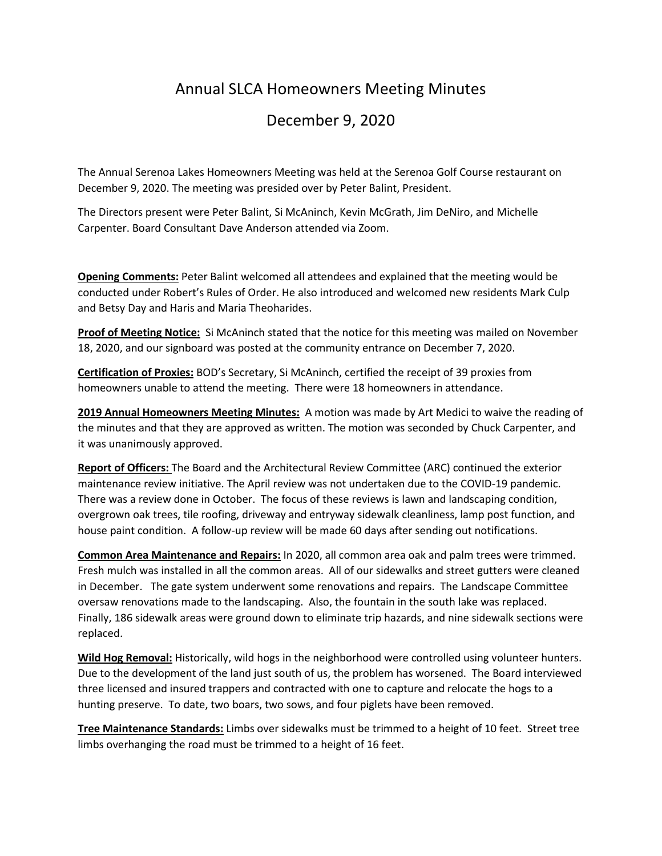## Annual SLCA Homeowners Meeting Minutes

## December 9, 2020

The Annual Serenoa Lakes Homeowners Meeting was held at the Serenoa Golf Course restaurant on December 9, 2020. The meeting was presided over by Peter Balint, President.

The Directors present were Peter Balint, Si McAninch, Kevin McGrath, Jim DeNiro, and Michelle Carpenter. Board Consultant Dave Anderson attended via Zoom.

**Opening Comments:** Peter Balint welcomed all attendees and explained that the meeting would be conducted under Robert's Rules of Order. He also introduced and welcomed new residents Mark Culp and Betsy Day and Haris and Maria Theoharides.

**Proof of Meeting Notice:** Si McAninch stated that the notice for this meeting was mailed on November 18, 2020, and our signboard was posted at the community entrance on December 7, 2020.

**Certification of Proxies:** BOD's Secretary, Si McAninch, certified the receipt of 39 proxies from homeowners unable to attend the meeting. There were 18 homeowners in attendance.

**2019 Annual Homeowners Meeting Minutes:** A motion was made by Art Medici to waive the reading of the minutes and that they are approved as written. The motion was seconded by Chuck Carpenter, and it was unanimously approved.

**Report of Officers:** The Board and the Architectural Review Committee (ARC) continued the exterior maintenance review initiative. The April review was not undertaken due to the COVID-19 pandemic. There was a review done in October. The focus of these reviews is lawn and landscaping condition, overgrown oak trees, tile roofing, driveway and entryway sidewalk cleanliness, lamp post function, and house paint condition. A follow-up review will be made 60 days after sending out notifications.

**Common Area Maintenance and Repairs:** In 2020, all common area oak and palm trees were trimmed. Fresh mulch was installed in all the common areas. All of our sidewalks and street gutters were cleaned in December. The gate system underwent some renovations and repairs. The Landscape Committee oversaw renovations made to the landscaping. Also, the fountain in the south lake was replaced. Finally, 186 sidewalk areas were ground down to eliminate trip hazards, and nine sidewalk sections were replaced.

**Wild Hog Removal:** Historically, wild hogs in the neighborhood were controlled using volunteer hunters. Due to the development of the land just south of us, the problem has worsened. The Board interviewed three licensed and insured trappers and contracted with one to capture and relocate the hogs to a hunting preserve. To date, two boars, two sows, and four piglets have been removed.

**Tree Maintenance Standards:** Limbs over sidewalks must be trimmed to a height of 10 feet. Street tree limbs overhanging the road must be trimmed to a height of 16 feet.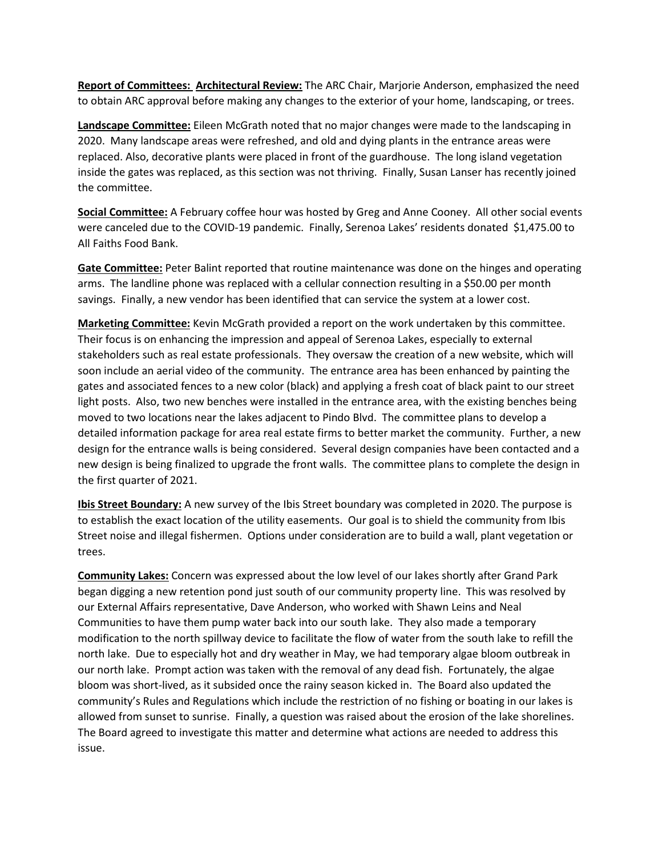**Report of Committees: Architectural Review:** The ARC Chair, Marjorie Anderson, emphasized the need to obtain ARC approval before making any changes to the exterior of your home, landscaping, or trees.

**Landscape Committee:** Eileen McGrath noted that no major changes were made to the landscaping in 2020. Many landscape areas were refreshed, and old and dying plants in the entrance areas were replaced. Also, decorative plants were placed in front of the guardhouse. The long island vegetation inside the gates was replaced, as this section was not thriving. Finally, Susan Lanser has recently joined the committee.

**Social Committee:** A February coffee hour was hosted by Greg and Anne Cooney. All other social events were canceled due to the COVID-19 pandemic. Finally, Serenoa Lakes' residents donated \$1,475.00 to All Faiths Food Bank.

**Gate Committee:** Peter Balint reported that routine maintenance was done on the hinges and operating arms. The landline phone was replaced with a cellular connection resulting in a \$50.00 per month savings. Finally, a new vendor has been identified that can service the system at a lower cost.

**Marketing Committee:** Kevin McGrath provided a report on the work undertaken by this committee. Their focus is on enhancing the impression and appeal of Serenoa Lakes, especially to external stakeholders such as real estate professionals. They oversaw the creation of a new website, which will soon include an aerial video of the community. The entrance area has been enhanced by painting the gates and associated fences to a new color (black) and applying a fresh coat of black paint to our street light posts. Also, two new benches were installed in the entrance area, with the existing benches being moved to two locations near the lakes adjacent to Pindo Blvd. The committee plans to develop a detailed information package for area real estate firms to better market the community. Further, a new design for the entrance walls is being considered. Several design companies have been contacted and a new design is being finalized to upgrade the front walls. The committee plans to complete the design in the first quarter of 2021.

**Ibis Street Boundary:** A new survey of the Ibis Street boundary was completed in 2020. The purpose is to establish the exact location of the utility easements. Our goal is to shield the community from Ibis Street noise and illegal fishermen. Options under consideration are to build a wall, plant vegetation or trees.

**Community Lakes:** Concern was expressed about the low level of our lakes shortly after Grand Park began digging a new retention pond just south of our community property line. This was resolved by our External Affairs representative, Dave Anderson, who worked with Shawn Leins and Neal Communities to have them pump water back into our south lake. They also made a temporary modification to the north spillway device to facilitate the flow of water from the south lake to refill the north lake. Due to especially hot and dry weather in May, we had temporary algae bloom outbreak in our north lake. Prompt action was taken with the removal of any dead fish. Fortunately, the algae bloom was short-lived, as it subsided once the rainy season kicked in. The Board also updated the community's Rules and Regulations which include the restriction of no fishing or boating in our lakes is allowed from sunset to sunrise. Finally, a question was raised about the erosion of the lake shorelines. The Board agreed to investigate this matter and determine what actions are needed to address this issue.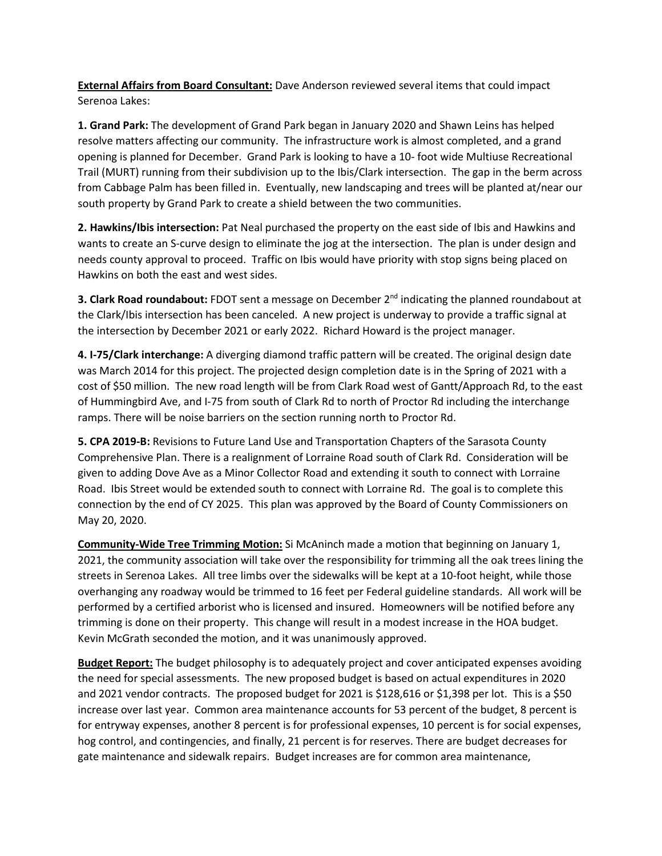**External Affairs from Board Consultant:** Dave Anderson reviewed several items that could impact Serenoa Lakes:

**1. Grand Park:** The development of Grand Park began in January 2020 and Shawn Leins has helped resolve matters affecting our community. The infrastructure work is almost completed, and a grand opening is planned for December. Grand Park is looking to have a 10- foot wide Multiuse Recreational Trail (MURT) running from their subdivision up to the Ibis/Clark intersection. The gap in the berm across from Cabbage Palm has been filled in. Eventually, new landscaping and trees will be planted at/near our south property by Grand Park to create a shield between the two communities.

**2. Hawkins/Ibis intersection:** Pat Neal purchased the property on the east side of Ibis and Hawkins and wants to create an S-curve design to eliminate the jog at the intersection. The plan is under design and needs county approval to proceed. Traffic on Ibis would have priority with stop signs being placed on Hawkins on both the east and west sides.

**3. Clark Road roundabout:** FDOT sent a message on December 2<sup>nd</sup> indicating the planned roundabout at the Clark/Ibis intersection has been canceled. A new project is underway to provide a traffic signal at the intersection by December 2021 or early 2022. Richard Howard is the project manager.

**4. I-75/Clark interchange:** A diverging diamond traffic pattern will be created. The original design date was March 2014 for this project. The projected design completion date is in the Spring of 2021 with a cost of \$50 million. The new road length will be from Clark Road west of Gantt/Approach Rd, to the east of Hummingbird Ave, and I-75 from south of Clark Rd to north of Proctor Rd including the interchange ramps. There will be noise barriers on the section running north to Proctor Rd.

**5. CPA 2019-B:** Revisions to Future Land Use and Transportation Chapters of the Sarasota County Comprehensive Plan. There is a realignment of Lorraine Road south of Clark Rd. Consideration will be given to adding Dove Ave as a Minor Collector Road and extending it south to connect with Lorraine Road. Ibis Street would be extended south to connect with Lorraine Rd. The goal is to complete this connection by the end of CY 2025. This plan was approved by the Board of County Commissioners on May 20, 2020.

**Community-Wide Tree Trimming Motion:** Si McAninch made a motion that beginning on January 1, 2021, the community association will take over the responsibility for trimming all the oak trees lining the streets in Serenoa Lakes. All tree limbs over the sidewalks will be kept at a 10-foot height, while those overhanging any roadway would be trimmed to 16 feet per Federal guideline standards. All work will be performed by a certified arborist who is licensed and insured. Homeowners will be notified before any trimming is done on their property. This change will result in a modest increase in the HOA budget. Kevin McGrath seconded the motion, and it was unanimously approved.

**Budget Report:** The budget philosophy is to adequately project and cover anticipated expenses avoiding the need for special assessments. The new proposed budget is based on actual expenditures in 2020 and 2021 vendor contracts. The proposed budget for 2021 is \$128,616 or \$1,398 per lot. This is a \$50 increase over last year. Common area maintenance accounts for 53 percent of the budget, 8 percent is for entryway expenses, another 8 percent is for professional expenses, 10 percent is for social expenses, hog control, and contingencies, and finally, 21 percent is for reserves. There are budget decreases for gate maintenance and sidewalk repairs. Budget increases are for common area maintenance,